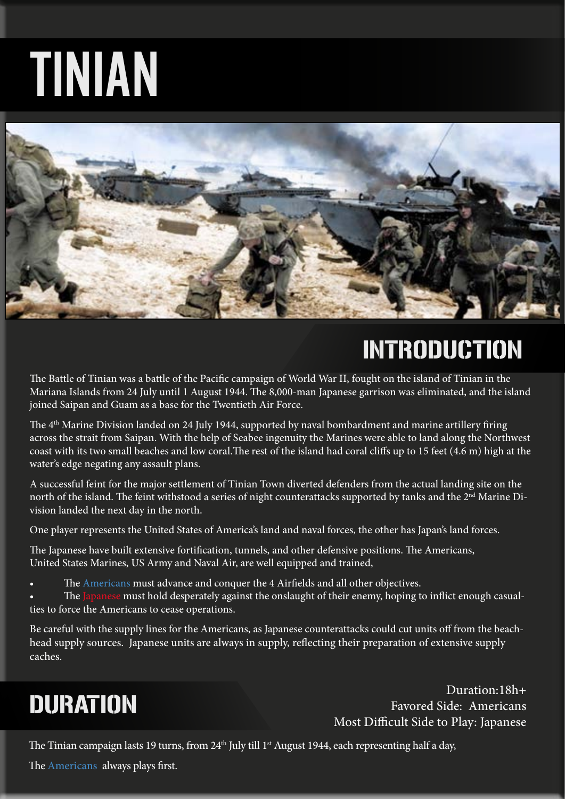# TINIAN



### INTRODUCTION

The Battle of Tinian was a battle of the Pacific campaign of World War II, fought on the island of Tinian in the Mariana Islands from 24 July until 1 August 1944. The 8,000-man Japanese garrison was eliminated, and the island joined Saipan and Guam as a base for the Twentieth Air Force.

The 4<sup>th</sup> Marine Division landed on 24 July 1944, supported by naval bombardment and marine artillery firing across the strait from Saipan. With the help of Seabee ingenuity the Marines were able to land along the Northwest coast with its two small beaches and low coral.The rest of the island had coral cliffs up to 15 feet (4.6 m) high at the water's edge negating any assault plans.

A successful feint for the major settlement of Tinian Town diverted defenders from the actual landing site on the north of the island. The feint withstood a series of night counterattacks supported by tanks and the 2<sup>nd</sup> Marine Division landed the next day in the north.

One player represents the United States of America's land and naval forces, the other has Japan's land forces.

The Japanese have built extensive fortification, tunnels, and other defensive positions. The Americans, United States Marines, US Army and Naval Air, are well equipped and trained,

The Americans must advance and conquer the 4 Airfields and all other objectives.

The Japanese must hold desperately against the onslaught of their enemy, hoping to inflict enough casualties to force the Americans to cease operations.

Be careful with the supply lines for the Americans, as Japanese counterattacks could cut units off from the beachhead supply sources. Japanese units are always in supply, reflecting their preparation of extensive supply caches.

### DURATION

Duration:18h+ Favored Side: Americans Most Difficult Side to Play: Japanese

The Tinian campaign lasts 19 turns, from  $24<sup>th</sup>$  July till 1<sup>st</sup> August 1944, each representing half a day,

The Americans always plays first.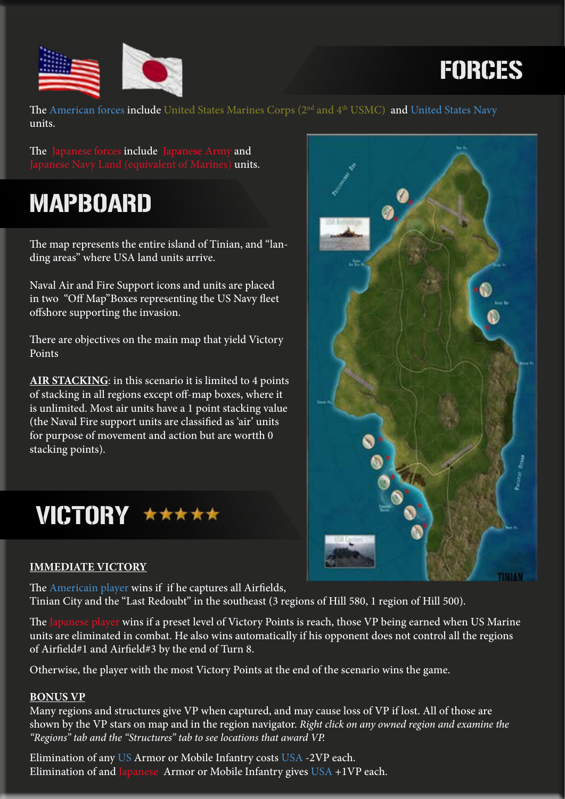



The American forces include United States Marines Corps (2<sup>nd</sup> and 4<sup>th</sup> USMC) and United States Navy units.

The Japanese forces include Japanese Army and Japanese Navy Land (equivalent of Marines) **units.** 

### MAPBOARD

The map represents the entire island of Tinian, and "landing areas" where USA land units arrive.

Naval Air and Fire Support icons and units are placed in two "Off Map"Boxes representing the US Navy fleet offshore supporting the invasion.

There are objectives on the main map that yield Victory Points

**AIR STACKING**: in this scenario it is limited to 4 points of stacking in all regions except off-map boxes, where it is unlimited. Most air units have a 1 point stacking value (the Naval Fire support units are classified as 'air' units for purpose of movement and action but are wortth 0 stacking points).



### **IMMEDIATE VICTORY**

The Americain player wins if if he captures all Airfields, Tinian City and the "Last Redoubt" in the southeast (3 regions of Hill 580, 1 region of Hill 500).

The Japanese player wins if a preset level of Victory Points is reach, those VP being earned when US Marine units are eliminated in combat. He also wins automatically if his opponent does not control all the regions of Airfield#1 and Airfield#3 by the end of Turn 8.

Otherwise, the player with the most Victory Points at the end of the scenario wins the game.

### **BONUS VP**

Many regions and structures give VP when captured, and may cause loss of VP if lost. All of those are shown by the VP stars on map and in the region navigator. *Right click on any owned region and examine the "Regions" tab and the "Structures" tab to see locations that award VP.*

Elimination of any US Armor or Mobile Infantry costs USA -2VP each. Elimination of and Japanese Armor or Mobile Infantry gives USA +1VP each.

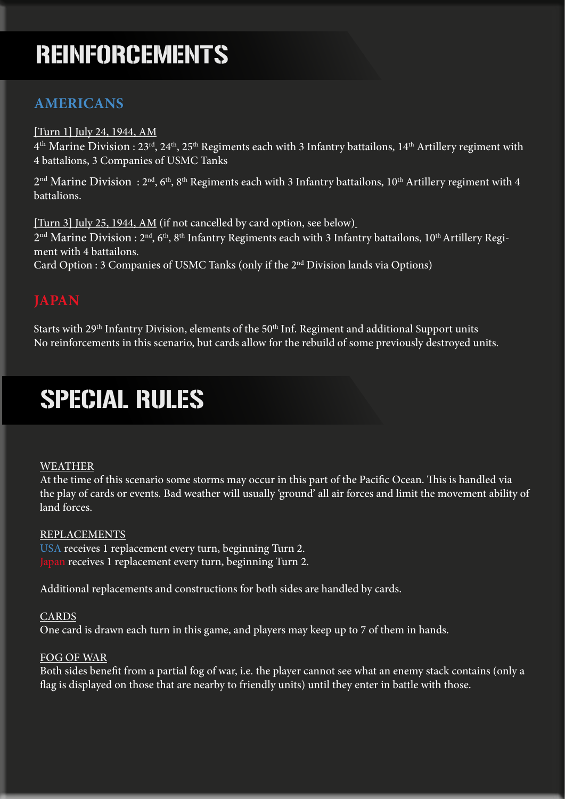### REINFORCEMENTS

### **AMERICANS**

#### [Turn 1] July 24, 1944, AM

 $4<sup>th</sup>$  Marine Division : 23<sup>rd</sup>, 24<sup>th</sup>, 25<sup>th</sup> Regiments each with 3 Infantry battailons, 14<sup>th</sup> Artillery regiment with 4 battalions, 3 Companies of USMC Tanks

 $2<sup>nd</sup>$  Marine Division:  $2<sup>nd</sup>$ , 6<sup>th</sup>, 8<sup>th</sup> Regiments each with 3 Infantry battailons, 10<sup>th</sup> Artillery regiment with 4 battalions.

[Turn 3] July 25, 1944, AM (if not cancelled by card option, see below)  $2<sup>nd</sup>$  Marine Division :  $2<sup>nd</sup>$ , 6<sup>th</sup>, 8<sup>th</sup> Infantry Regiments each with 3 Infantry battailons, 10<sup>th</sup> Artillery Regiment with 4 battailons. Card Option : 3 Companies of USMC Tanks (only if the 2nd Division lands via Options)

Starts with 29<sup>th</sup> Infantry Division, elements of the 50<sup>th</sup> Inf. Regiment and additional Support units No reinforcements in this scenario, but cards allow for the rebuild of some previously destroyed units.

### SPECIAL RULES

#### WEATHER

At the time of this scenario some storms may occur in this part of the Pacific Ocean. This is handled via the play of cards or events. Bad weather will usually 'ground' all air forces and limit the movement ability of land forces.

#### REPLACEMENTS

USA receives 1 replacement every turn, beginning Turn 2. Japan receives 1 replacement every turn, beginning Turn 2.

Additional replacements and constructions for both sides are handled by cards.

#### CARDS

One card is drawn each turn in this game, and players may keep up to 7 of them in hands.

#### FOG OF WAR

Both sides benefit from a partial fog of war, i.e. the player cannot see what an enemy stack contains (only a flag is displayed on those that are nearby to friendly units) until they enter in battle with those.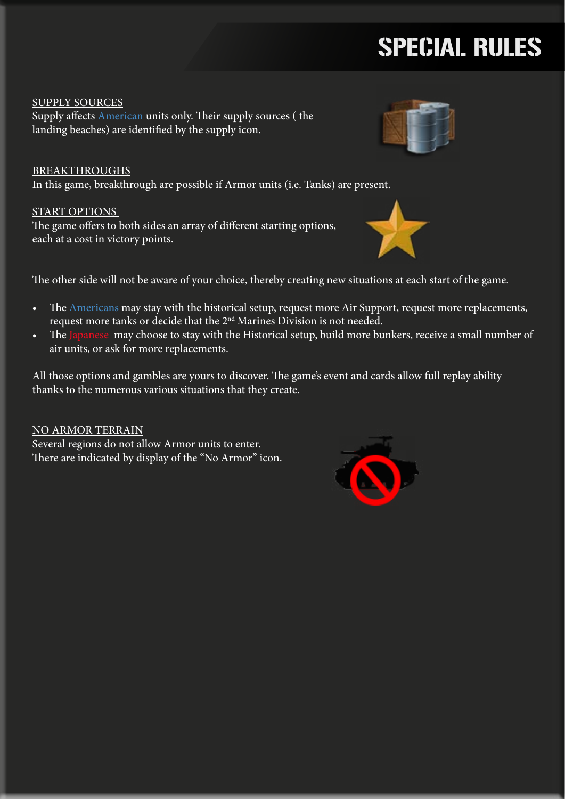## SPECIAL RULES

SUPPLY SOURCES Supply affects American units only. Their supply sources ( the landing beaches) are identified by the supply icon.

BREAKTHROUGHS In this game, breakthrough are possible if Armor units (i.e. Tanks) are present.

### START OPTIONS

The game offers to both sides an array of different starting options, each at a cost in victory points.

The other side will not be aware of your choice, thereby creating new situations at each start of the game.

- The Americans may stay with the historical setup, request more Air Support, request more replacements, request more tanks or decide that the 2nd Marines Division is not needed.
- The Japanese may choose to stay with the Historical setup, build more bunkers, receive a small number of air units, or ask for more replacements.

All those options and gambles are yours to discover. The game's event and cards allow full replay ability thanks to the numerous various situations that they create.

NO ARMOR TERRAIN

Several regions do not allow Armor units to enter. There are indicated by display of the "No Armor" icon.